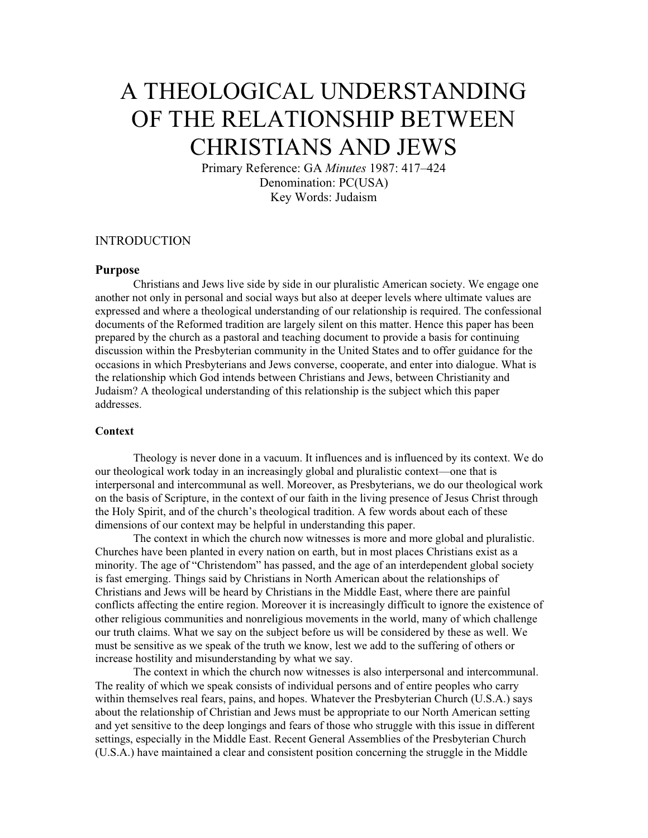# A THEOLOGICAL UNDERSTANDING OF THE RELATIONSHIP BETWEEN CHRISTIANS AND JEWS

Primary Reference: GA *Minutes* 1987: 417–424 Denomination: PC(USA) Key Words: Judaism

# **INTRODUCTION**

#### **Purpose**

Christians and Jews live side by side in our pluralistic American society. We engage one another not only in personal and social ways but also at deeper levels where ultimate values are expressed and where a theological understanding of our relationship is required. The confessional documents of the Reformed tradition are largely silent on this matter. Hence this paper has been prepared by the church as a pastoral and teaching document to provide a basis for continuing discussion within the Presbyterian community in the United States and to offer guidance for the occasions in which Presbyterians and Jews converse, cooperate, and enter into dialogue. What is the relationship which God intends between Christians and Jews, between Christianity and Judaism? A theological understanding of this relationship is the subject which this paper addresses.

# **Context**

Theology is never done in a vacuum. It influences and is influenced by its context. We do our theological work today in an increasingly global and pluralistic context—one that is interpersonal and intercommunal as well. Moreover, as Presbyterians, we do our theological work on the basis of Scripture, in the context of our faith in the living presence of Jesus Christ through the Holy Spirit, and of the church's theological tradition. A few words about each of these dimensions of our context may be helpful in understanding this paper.

The context in which the church now witnesses is more and more global and pluralistic. Churches have been planted in every nation on earth, but in most places Christians exist as a minority. The age of "Christendom" has passed, and the age of an interdependent global society is fast emerging. Things said by Christians in North American about the relationships of Christians and Jews will be heard by Christians in the Middle East, where there are painful conflicts affecting the entire region. Moreover it is increasingly difficult to ignore the existence of other religious communities and nonreligious movements in the world, many of which challenge our truth claims. What we say on the subject before us will be considered by these as well. We must be sensitive as we speak of the truth we know, lest we add to the suffering of others or increase hostility and misunderstanding by what we say.

The context in which the church now witnesses is also interpersonal and intercommunal. The reality of which we speak consists of individual persons and of entire peoples who carry within themselves real fears, pains, and hopes. Whatever the Presbyterian Church (U.S.A.) says about the relationship of Christian and Jews must be appropriate to our North American setting and yet sensitive to the deep longings and fears of those who struggle with this issue in different settings, especially in the Middle East. Recent General Assemblies of the Presbyterian Church (U.S.A.) have maintained a clear and consistent position concerning the struggle in the Middle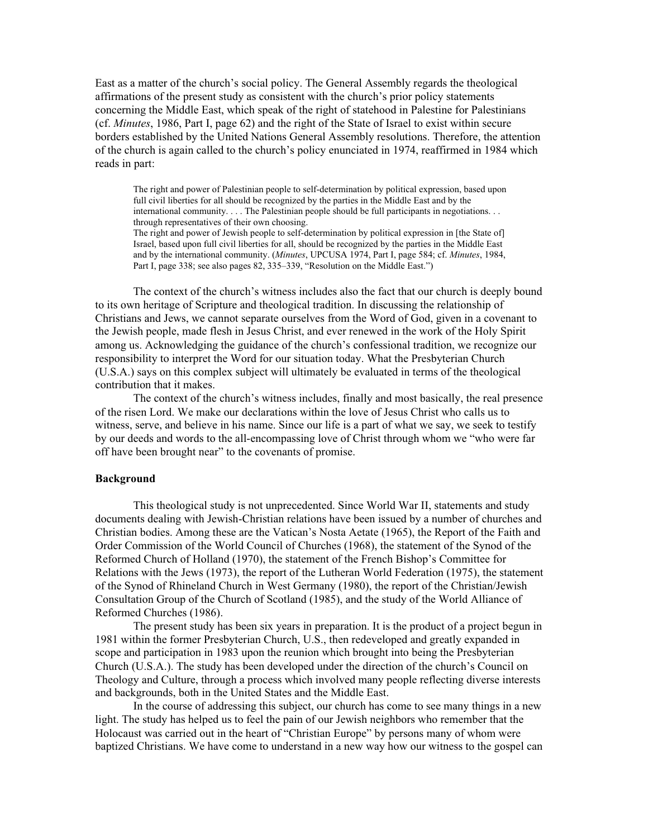East as a matter of the church's social policy. The General Assembly regards the theological affirmations of the present study as consistent with the church's prior policy statements concerning the Middle East, which speak of the right of statehood in Palestine for Palestinians (cf. *Minutes*, 1986, Part I, page 62) and the right of the State of Israel to exist within secure borders established by the United Nations General Assembly resolutions. Therefore, the attention of the church is again called to the church's policy enunciated in 1974, reaffirmed in 1984 which reads in part:

The right and power of Palestinian people to self-determination by political expression, based upon full civil liberties for all should be recognized by the parties in the Middle East and by the international community. . . . The Palestinian people should be full participants in negotiations. . . through representatives of their own choosing. The right and power of Jewish people to self-determination by political expression in [the State of] Israel, based upon full civil liberties for all, should be recognized by the parties in the Middle East

and by the international community. (*Minutes*, UPCUSA 1974, Part I, page 584; cf. *Minutes*, 1984, Part I, page 338; see also pages 82, 335–339, "Resolution on the Middle East.")

The context of the church's witness includes also the fact that our church is deeply bound to its own heritage of Scripture and theological tradition. In discussing the relationship of Christians and Jews, we cannot separate ourselves from the Word of God, given in a covenant to the Jewish people, made flesh in Jesus Christ, and ever renewed in the work of the Holy Spirit among us. Acknowledging the guidance of the church's confessional tradition, we recognize our responsibility to interpret the Word for our situation today. What the Presbyterian Church (U.S.A.) says on this complex subject will ultimately be evaluated in terms of the theological contribution that it makes.

The context of the church's witness includes, finally and most basically, the real presence of the risen Lord. We make our declarations within the love of Jesus Christ who calls us to witness, serve, and believe in his name. Since our life is a part of what we say, we seek to testify by our deeds and words to the all-encompassing love of Christ through whom we "who were far off have been brought near" to the covenants of promise.

# **Background**

This theological study is not unprecedented. Since World War II, statements and study documents dealing with Jewish-Christian relations have been issued by a number of churches and Christian bodies. Among these are the Vatican's Nosta Aetate (1965), the Report of the Faith and Order Commission of the World Council of Churches (1968), the statement of the Synod of the Reformed Church of Holland (1970), the statement of the French Bishop's Committee for Relations with the Jews (1973), the report of the Lutheran World Federation (1975), the statement of the Synod of Rhineland Church in West Germany (1980), the report of the Christian/Jewish Consultation Group of the Church of Scotland (1985), and the study of the World Alliance of Reformed Churches (1986).

The present study has been six years in preparation. It is the product of a project begun in 1981 within the former Presbyterian Church, U.S., then redeveloped and greatly expanded in scope and participation in 1983 upon the reunion which brought into being the Presbyterian Church (U.S.A.). The study has been developed under the direction of the church's Council on Theology and Culture, through a process which involved many people reflecting diverse interests and backgrounds, both in the United States and the Middle East.

In the course of addressing this subject, our church has come to see many things in a new light. The study has helped us to feel the pain of our Jewish neighbors who remember that the Holocaust was carried out in the heart of "Christian Europe" by persons many of whom were baptized Christians. We have come to understand in a new way how our witness to the gospel can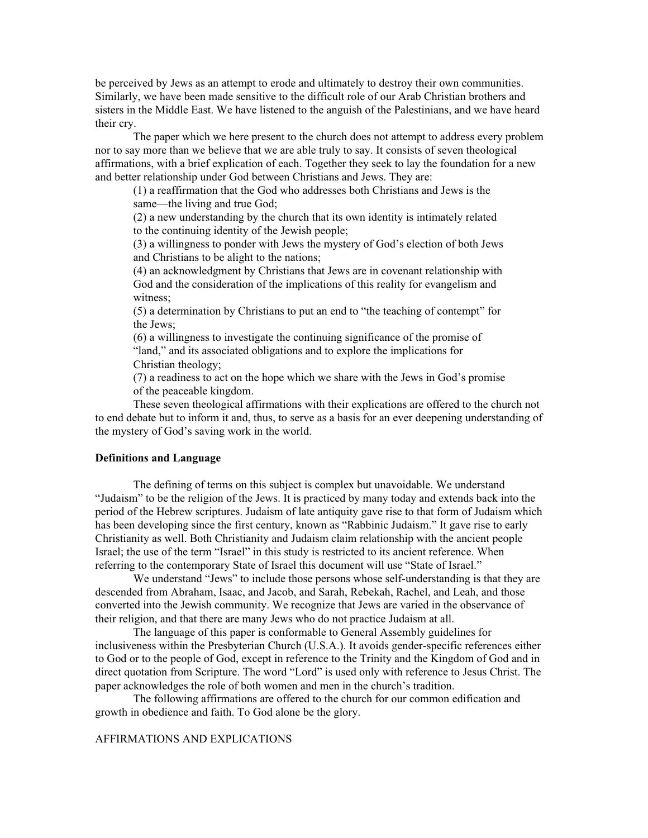be perceived by Jews as an attempt to erode and ultimately to destroy their own communities. Similarly, we have been made sensitive to the difficult role of our Arab Christian brothers and sisters in the Middle East. We have listened to the anguish of the Palestinians, and we have heard their cry.

The paper which we here present to the church does not attempt to address every problem nor to say more than we believe that we are able truly to say. It consists of seven theological affirmations, with a brief explication of each. Together they seek to lay the foundation for a new and better relationship under God between Christians and Jews. They are:

(1) a reaffirmation that the God who addresses both Christians and Jews is the same—the living and true God;

(2) a new understanding by the church that its own identity is intimately related to the continuing identity of the Jewish people;

(3) a willingness to ponder with Jews the mystery of God's election of both Jews and Christians to be alight to the nations;

(4) an acknowledgment by Christians that Jews are in covenant relationship with God and the consideration of the implications of this reality for evangelism and witness;

(5) a determination by Christians to put an end to "the teaching of contempt" for the Jews;

(6) a willingness to investigate the continuing significance of the promise of "land," and its associated obligations and to explore the implications for Christian theology;

(7) a readiness to act on the hope which we share with the Jews in God's promise of the peaceable kingdom.

These seven theological affirmations with their explications are offered to the church not to end debate but to inform it and, thus, to serve as a basis for an ever deepening understanding of the mystery of God's saving work in the world.

## **Definitions and Language**

The defining of terms on this subject is complex but unavoidable. We understand "Judaism" to be the religion of the Jews. It is practiced by many today and extends back into the period of the Hebrew scriptures. Judaism of late antiquity gave rise to that form of Judaism which has been developing since the first century, known as "Rabbinic Judaism." It gave rise to early Christianity as well. Both Christianity and Judaism claim relationship with the ancient people Israel; the use of the term "Israel" in this study is restricted to its ancient reference. When referring to the contemporary State of Israel this document will use "State of Israel."

We understand "Jews" to include those persons whose self-understanding is that they are descended from Abraham, Isaac, and Jacob, and Sarah, Rebekah, Rachel, and Leah, and those converted into the Jewish community. We recognize that Jews are varied in the observance of their religion, and that there are many Jews who do not practice Judaism at all.

The language of this paper is conformable to General Assembly guidelines for inclusiveness within the Presbyterian Church (U.S.A.). It avoids gender-specific references either to God or to the people of God, except in reference to the Trinity and the Kingdom of God and in direct quotation from Scripture. The word "Lord" is used only with reference to Jesus Christ. The paper acknowledges the role of both women and men in the church's tradition.

The following affirmations are offered to the church for our common edification and growth in obedience and faith. To God alone be the glory.

# AFFIRMATIONS AND EXPLICATIONS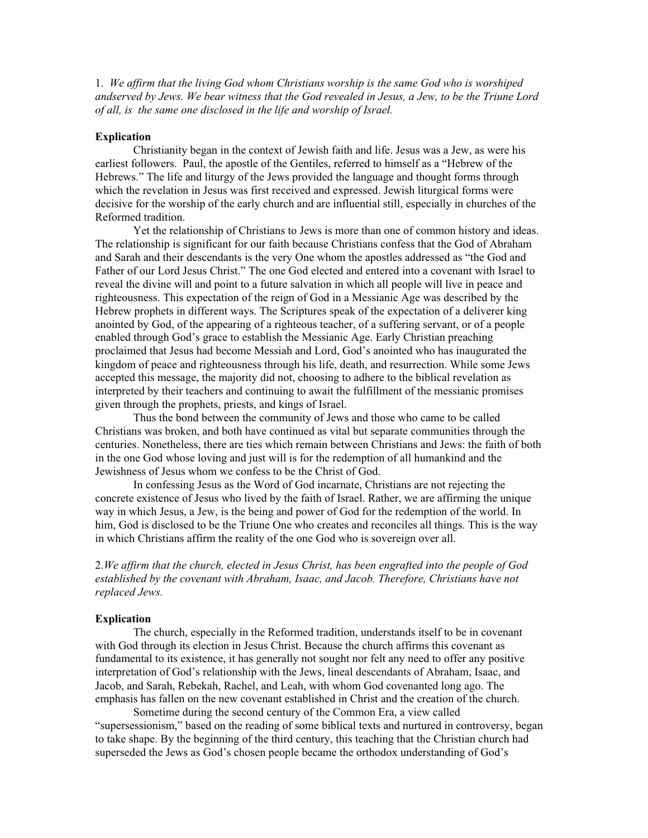1. *We affirm that the living God whom Christians worship is the same God who is worshiped andserved by Jews. We bear witness that the God revealed in Jesus, a Jew, to be the Triune Lord of all, is the same one disclosed in the life and worship of Israel.*

#### **Explication**

Christianity began in the context of Jewish faith and life. Jesus was a Jew, as were his earliest followers. Paul, the apostle of the Gentiles, referred to himself as a "Hebrew of the Hebrews." The life and liturgy of the Jews provided the language and thought forms through which the revelation in Jesus was first received and expressed. Jewish liturgical forms were decisive for the worship of the early church and are influential still, especially in churches of the Reformed tradition.

Yet the relationship of Christians to Jews is more than one of common history and ideas. The relationship is significant for our faith because Christians confess that the God of Abraham and Sarah and their descendants is the very One whom the apostles addressed as "the God and Father of our Lord Jesus Christ." The one God elected and entered into a covenant with Israel to reveal the divine will and point to a future salvation in which all people will live in peace and righteousness. This expectation of the reign of God in a Messianic Age was described by the Hebrew prophets in different ways. The Scriptures speak of the expectation of a deliverer king anointed by God, of the appearing of a righteous teacher, of a suffering servant, or of a people enabled through God's grace to establish the Messianic Age. Early Christian preaching proclaimed that Jesus had become Messiah and Lord, God's anointed who has inaugurated the kingdom of peace and righteousness through his life, death, and resurrection. While some Jews accepted this message, the majority did not, choosing to adhere to the biblical revelation as interpreted by their teachers and continuing to await the fulfillment of the messianic promises given through the prophets, priests, and kings of Israel.

Thus the bond between the community of Jews and those who came to be called Christians was broken, and both have continued as vital but separate communities through the centuries. Nonetheless, there are ties which remain between Christians and Jews: the faith of both in the one God whose loving and just will is for the redemption of all humankind and the Jewishness of Jesus whom we confess to be the Christ of God.

In confessing Jesus as the Word of God incarnate, Christians are not rejecting the concrete existence of Jesus who lived by the faith of Israel. Rather, we are affirming the unique way in which Jesus, a Jew, is the being and power of God for the redemption of the world. In him, God is disclosed to be the Triune One who creates and reconciles all things. This is the way in which Christians affirm the reality of the one God who is sovereign over all.

2.*We affirm that the church, elected in Jesus Christ, has been engrafted into the people of God established by the covenant with Abraham, Isaac, and Jacob. Therefore, Christians have not replaced Jews.*

## **Explication**

The church, especially in the Reformed tradition, understands itself to be in covenant with God through its election in Jesus Christ. Because the church affirms this covenant as fundamental to its existence, it has generally not sought nor felt any need to offer any positive interpretation of God's relationship with the Jews, lineal descendants of Abraham, Isaac, and Jacob, and Sarah, Rebekah, Rachel, and Leah, with whom God covenanted long ago. The emphasis has fallen on the new covenant established in Christ and the creation of the church.

Sometime during the second century of the Common Era, a view called "supersessionism," based on the reading of some biblical texts and nurtured in controversy, began to take shape. By the beginning of the third century, this teaching that the Christian church had superseded the Jews as God's chosen people became the orthodox understanding of God's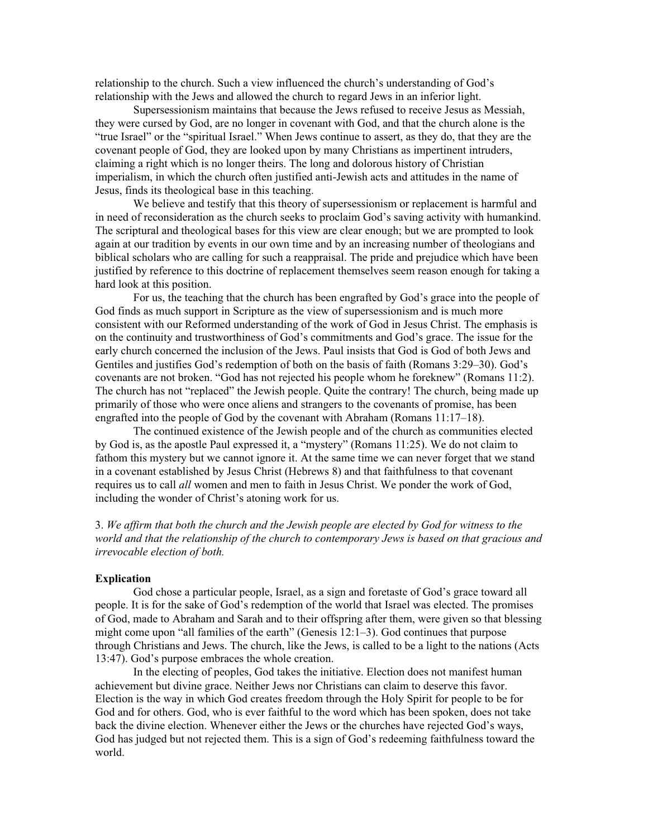relationship to the church. Such a view influenced the church's understanding of God's relationship with the Jews and allowed the church to regard Jews in an inferior light.

Supersessionism maintains that because the Jews refused to receive Jesus as Messiah, they were cursed by God, are no longer in covenant with God, and that the church alone is the "true Israel" or the "spiritual Israel." When Jews continue to assert, as they do, that they are the covenant people of God, they are looked upon by many Christians as impertinent intruders, claiming a right which is no longer theirs. The long and dolorous history of Christian imperialism, in which the church often justified anti-Jewish acts and attitudes in the name of Jesus, finds its theological base in this teaching.

We believe and testify that this theory of supersessionism or replacement is harmful and in need of reconsideration as the church seeks to proclaim God's saving activity with humankind. The scriptural and theological bases for this view are clear enough; but we are prompted to look again at our tradition by events in our own time and by an increasing number of theologians and biblical scholars who are calling for such a reappraisal. The pride and prejudice which have been justified by reference to this doctrine of replacement themselves seem reason enough for taking a hard look at this position.

For us, the teaching that the church has been engrafted by God's grace into the people of God finds as much support in Scripture as the view of supersessionism and is much more consistent with our Reformed understanding of the work of God in Jesus Christ. The emphasis is on the continuity and trustworthiness of God's commitments and God's grace. The issue for the early church concerned the inclusion of the Jews. Paul insists that God is God of both Jews and Gentiles and justifies God's redemption of both on the basis of faith (Romans 3:29–30). God's covenants are not broken. "God has not rejected his people whom he foreknew" (Romans 11:2). The church has not "replaced" the Jewish people. Quite the contrary! The church, being made up primarily of those who were once aliens and strangers to the covenants of promise, has been engrafted into the people of God by the covenant with Abraham (Romans 11:17–18).

The continued existence of the Jewish people and of the church as communities elected by God is, as the apostle Paul expressed it, a "mystery" (Romans 11:25). We do not claim to fathom this mystery but we cannot ignore it. At the same time we can never forget that we stand in a covenant established by Jesus Christ (Hebrews 8) and that faithfulness to that covenant requires us to call *all* women and men to faith in Jesus Christ. We ponder the work of God, including the wonder of Christ's atoning work for us.

3. *We affirm that both the church and the Jewish people are elected by God for witness to the world and that the relationship of the church to contemporary Jews is based on that gracious and irrevocable election of both.*

## **Explication**

God chose a particular people, Israel, as a sign and foretaste of God's grace toward all people. It is for the sake of God's redemption of the world that Israel was elected. The promises of God, made to Abraham and Sarah and to their offspring after them, were given so that blessing might come upon "all families of the earth" (Genesis 12:1–3). God continues that purpose through Christians and Jews. The church, like the Jews, is called to be a light to the nations (Acts 13:47). God's purpose embraces the whole creation.

In the electing of peoples, God takes the initiative. Election does not manifest human achievement but divine grace. Neither Jews nor Christians can claim to deserve this favor. Election is the way in which God creates freedom through the Holy Spirit for people to be for God and for others. God, who is ever faithful to the word which has been spoken, does not take back the divine election. Whenever either the Jews or the churches have rejected God's ways, God has judged but not rejected them. This is a sign of God's redeeming faithfulness toward the world.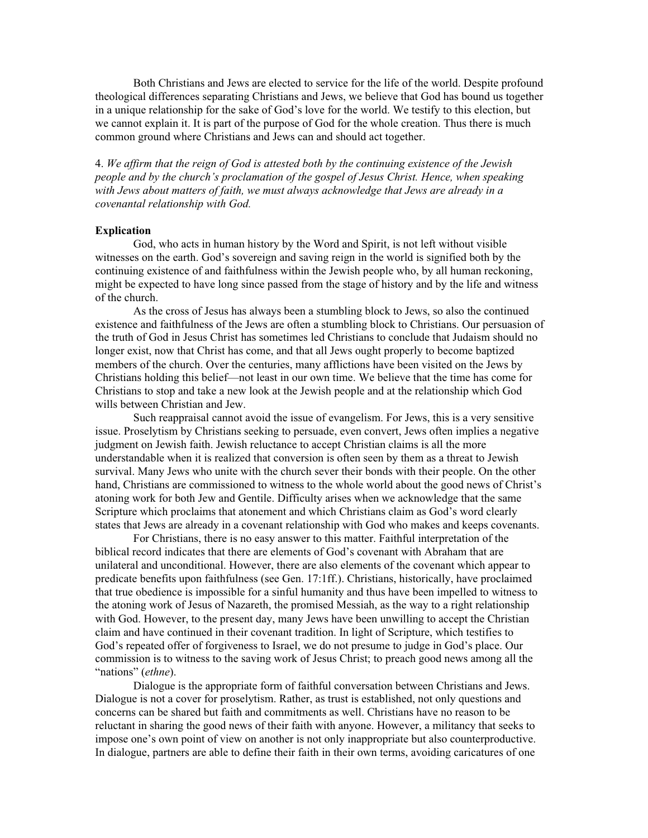Both Christians and Jews are elected to service for the life of the world. Despite profound theological differences separating Christians and Jews, we believe that God has bound us together in a unique relationship for the sake of God's love for the world. We testify to this election, but we cannot explain it. It is part of the purpose of God for the whole creation. Thus there is much common ground where Christians and Jews can and should act together.

4. *We affirm that the reign of God is attested both by the continuing existence of the Jewish people and by the church's proclamation of the gospel of Jesus Christ. Hence, when speaking with Jews about matters of faith, we must always acknowledge that Jews are already in a covenantal relationship with God.*

## **Explication**

God, who acts in human history by the Word and Spirit, is not left without visible witnesses on the earth. God's sovereign and saving reign in the world is signified both by the continuing existence of and faithfulness within the Jewish people who, by all human reckoning, might be expected to have long since passed from the stage of history and by the life and witness of the church.

As the cross of Jesus has always been a stumbling block to Jews, so also the continued existence and faithfulness of the Jews are often a stumbling block to Christians. Our persuasion of the truth of God in Jesus Christ has sometimes led Christians to conclude that Judaism should no longer exist, now that Christ has come, and that all Jews ought properly to become baptized members of the church. Over the centuries, many afflictions have been visited on the Jews by Christians holding this belief—not least in our own time. We believe that the time has come for Christians to stop and take a new look at the Jewish people and at the relationship which God wills between Christian and Jew.

Such reappraisal cannot avoid the issue of evangelism. For Jews, this is a very sensitive issue. Proselytism by Christians seeking to persuade, even convert, Jews often implies a negative judgment on Jewish faith. Jewish reluctance to accept Christian claims is all the more understandable when it is realized that conversion is often seen by them as a threat to Jewish survival. Many Jews who unite with the church sever their bonds with their people. On the other hand, Christians are commissioned to witness to the whole world about the good news of Christ's atoning work for both Jew and Gentile. Difficulty arises when we acknowledge that the same Scripture which proclaims that atonement and which Christians claim as God's word clearly states that Jews are already in a covenant relationship with God who makes and keeps covenants.

For Christians, there is no easy answer to this matter. Faithful interpretation of the biblical record indicates that there are elements of God's covenant with Abraham that are unilateral and unconditional. However, there are also elements of the covenant which appear to predicate benefits upon faithfulness (see Gen. 17:1ff.). Christians, historically, have proclaimed that true obedience is impossible for a sinful humanity and thus have been impelled to witness to the atoning work of Jesus of Nazareth, the promised Messiah, as the way to a right relationship with God. However, to the present day, many Jews have been unwilling to accept the Christian claim and have continued in their covenant tradition. In light of Scripture, which testifies to God's repeated offer of forgiveness to Israel, we do not presume to judge in God's place. Our commission is to witness to the saving work of Jesus Christ; to preach good news among all the "nations" (*ethne*).

Dialogue is the appropriate form of faithful conversation between Christians and Jews. Dialogue is not a cover for proselytism. Rather, as trust is established, not only questions and concerns can be shared but faith and commitments as well. Christians have no reason to be reluctant in sharing the good news of their faith with anyone. However, a militancy that seeks to impose one's own point of view on another is not only inappropriate but also counterproductive. In dialogue, partners are able to define their faith in their own terms, avoiding caricatures of one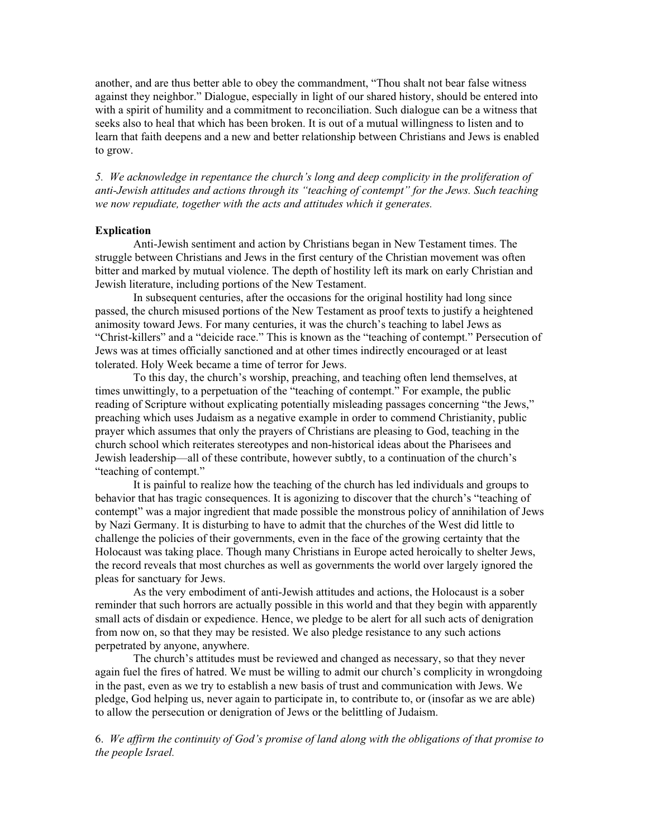another, and are thus better able to obey the commandment, "Thou shalt not bear false witness against they neighbor." Dialogue, especially in light of our shared history, should be entered into with a spirit of humility and a commitment to reconciliation. Such dialogue can be a witness that seeks also to heal that which has been broken. It is out of a mutual willingness to listen and to learn that faith deepens and a new and better relationship between Christians and Jews is enabled to grow.

*5. We acknowledge in repentance the church's long and deep complicity in the proliferation of anti-Jewish attitudes and actions through its "teaching of contempt" for the Jews. Such teaching we now repudiate, together with the acts and attitudes which it generates.*

# **Explication**

Anti-Jewish sentiment and action by Christians began in New Testament times. The struggle between Christians and Jews in the first century of the Christian movement was often bitter and marked by mutual violence. The depth of hostility left its mark on early Christian and Jewish literature, including portions of the New Testament.

In subsequent centuries, after the occasions for the original hostility had long since passed, the church misused portions of the New Testament as proof texts to justify a heightened animosity toward Jews. For many centuries, it was the church's teaching to label Jews as "Christ-killers" and a "deicide race." This is known as the "teaching of contempt." Persecution of Jews was at times officially sanctioned and at other times indirectly encouraged or at least tolerated. Holy Week became a time of terror for Jews.

To this day, the church's worship, preaching, and teaching often lend themselves, at times unwittingly, to a perpetuation of the "teaching of contempt." For example, the public reading of Scripture without explicating potentially misleading passages concerning "the Jews," preaching which uses Judaism as a negative example in order to commend Christianity, public prayer which assumes that only the prayers of Christians are pleasing to God, teaching in the church school which reiterates stereotypes and non-historical ideas about the Pharisees and Jewish leadership—all of these contribute, however subtly, to a continuation of the church's "teaching of contempt."

It is painful to realize how the teaching of the church has led individuals and groups to behavior that has tragic consequences. It is agonizing to discover that the church's "teaching of contempt" was a major ingredient that made possible the monstrous policy of annihilation of Jews by Nazi Germany. It is disturbing to have to admit that the churches of the West did little to challenge the policies of their governments, even in the face of the growing certainty that the Holocaust was taking place. Though many Christians in Europe acted heroically to shelter Jews, the record reveals that most churches as well as governments the world over largely ignored the pleas for sanctuary for Jews.

As the very embodiment of anti-Jewish attitudes and actions, the Holocaust is a sober reminder that such horrors are actually possible in this world and that they begin with apparently small acts of disdain or expedience. Hence, we pledge to be alert for all such acts of denigration from now on, so that they may be resisted. We also pledge resistance to any such actions perpetrated by anyone, anywhere.

The church's attitudes must be reviewed and changed as necessary, so that they never again fuel the fires of hatred. We must be willing to admit our church's complicity in wrongdoing in the past, even as we try to establish a new basis of trust and communication with Jews. We pledge, God helping us, never again to participate in, to contribute to, or (insofar as we are able) to allow the persecution or denigration of Jews or the belittling of Judaism.

6. *We affirm the continuity of God's promise of land along with the obligations of that promise to the people Israel.*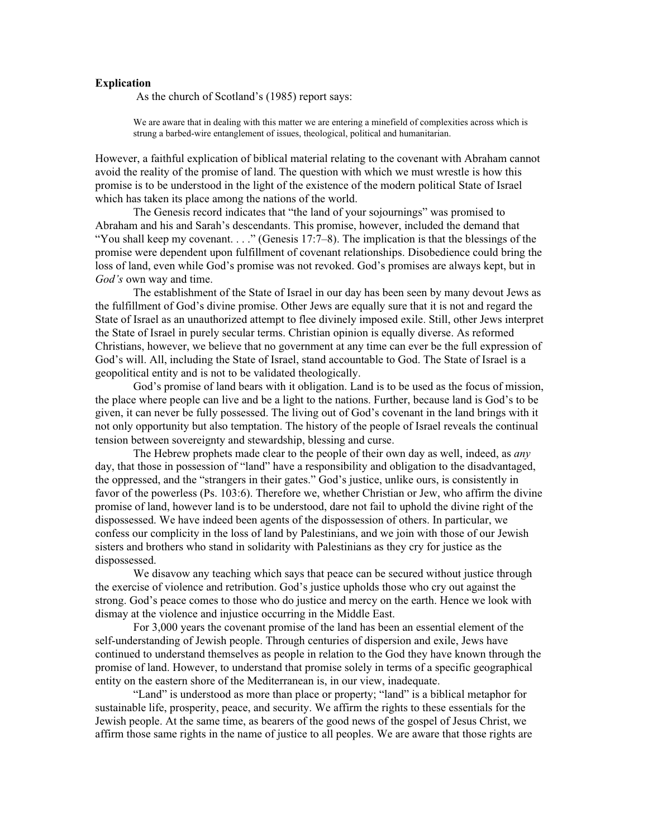#### **Explication**

As the church of Scotland's (1985) report says:

We are aware that in dealing with this matter we are entering a minefield of complexities across which is strung a barbed-wire entanglement of issues, theological, political and humanitarian.

However, a faithful explication of biblical material relating to the covenant with Abraham cannot avoid the reality of the promise of land. The question with which we must wrestle is how this promise is to be understood in the light of the existence of the modern political State of Israel which has taken its place among the nations of the world.

The Genesis record indicates that "the land of your sojournings" was promised to Abraham and his and Sarah's descendants. This promise, however, included the demand that "You shall keep my covenant. . . ." (Genesis 17:7–8). The implication is that the blessings of the promise were dependent upon fulfillment of covenant relationships. Disobedience could bring the loss of land, even while God's promise was not revoked. God's promises are always kept, but in *God's* own way and time.

The establishment of the State of Israel in our day has been seen by many devout Jews as the fulfillment of God's divine promise. Other Jews are equally sure that it is not and regard the State of Israel as an unauthorized attempt to flee divinely imposed exile. Still, other Jews interpret the State of Israel in purely secular terms. Christian opinion is equally diverse. As reformed Christians, however, we believe that no government at any time can ever be the full expression of God's will. All, including the State of Israel, stand accountable to God. The State of Israel is a geopolitical entity and is not to be validated theologically.

God's promise of land bears with it obligation. Land is to be used as the focus of mission, the place where people can live and be a light to the nations. Further, because land is God's to be given, it can never be fully possessed. The living out of God's covenant in the land brings with it not only opportunity but also temptation. The history of the people of Israel reveals the continual tension between sovereignty and stewardship, blessing and curse.

The Hebrew prophets made clear to the people of their own day as well, indeed, as *any* day, that those in possession of "land" have a responsibility and obligation to the disadvantaged, the oppressed, and the "strangers in their gates." God's justice, unlike ours, is consistently in favor of the powerless (Ps. 103:6). Therefore we, whether Christian or Jew, who affirm the divine promise of land, however land is to be understood, dare not fail to uphold the divine right of the dispossessed. We have indeed been agents of the dispossession of others. In particular, we confess our complicity in the loss of land by Palestinians, and we join with those of our Jewish sisters and brothers who stand in solidarity with Palestinians as they cry for justice as the dispossessed.

We disavow any teaching which says that peace can be secured without justice through the exercise of violence and retribution. God's justice upholds those who cry out against the strong. God's peace comes to those who do justice and mercy on the earth. Hence we look with dismay at the violence and injustice occurring in the Middle East.

For 3,000 years the covenant promise of the land has been an essential element of the self-understanding of Jewish people. Through centuries of dispersion and exile, Jews have continued to understand themselves as people in relation to the God they have known through the promise of land. However, to understand that promise solely in terms of a specific geographical entity on the eastern shore of the Mediterranean is, in our view, inadequate.

"Land" is understood as more than place or property; "land" is a biblical metaphor for sustainable life, prosperity, peace, and security. We affirm the rights to these essentials for the Jewish people. At the same time, as bearers of the good news of the gospel of Jesus Christ, we affirm those same rights in the name of justice to all peoples. We are aware that those rights are